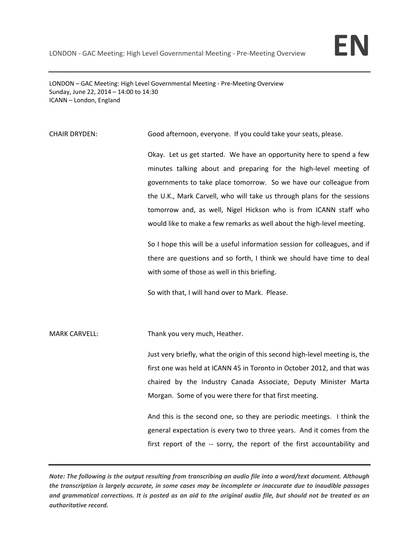LONDON – GAC Meeting: High Level Governmental Meeting - Pre-Meeting Overview Sunday, June 22, 2014 – 14:00 to 14:30 ICANN – London, England

## CHAIR DRYDEN: Good afternoon, everyone. If you could take your seats, please.

Okay. Let us get started. We have an opportunity here to spend a few minutes talking about and preparing for the high-level meeting of governments to take place tomorrow. So we have our colleague from the U.K., Mark Carvell, who will take us through plans for the sessions tomorrow and, as well, Nigel Hickson who is from ICANN staff who would like to make a few remarks as well about the high-level meeting.

So I hope this will be a useful information session for colleagues, and if there are questions and so forth, I think we should have time to deal with some of those as well in this briefing.

So with that, I will hand over to Mark. Please.

MARK CARVELL: Thank you very much, Heather.

Just very briefly, what the origin of this second high-level meeting is, the first one was held at ICANN 45 in Toronto in October 2012, and that was chaired by the Industry Canada Associate, Deputy Minister Marta Morgan. Some of you were there for that first meeting.

And this is the second one, so they are periodic meetings. I think the general expectation is every two to three years. And it comes from the first report of the -- sorry, the report of the first accountability and

*Note: The following is the output resulting from transcribing an audio file into a word/text document. Although the transcription is largely accurate, in some cases may be incomplete or inaccurate due to inaudible passages and grammatical corrections. It is posted as an aid to the original audio file, but should not be treated as an authoritative record.*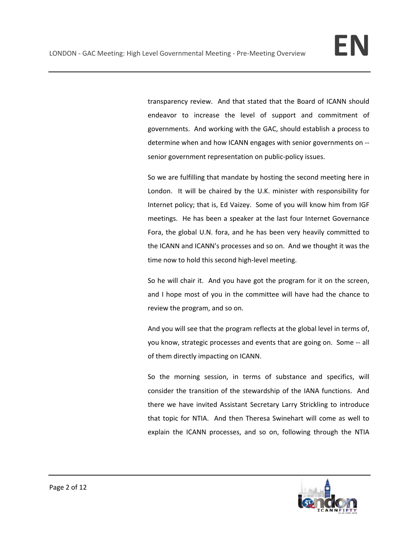transparency review. And that stated that the Board of ICANN should endeavor to increase the level of support and commitment of governments. And working with the GAC, should establish a process to determine when and how ICANN engages with senior governments on - senior government representation on public-policy issues.

So we are fulfilling that mandate by hosting the second meeting here in London. It will be chaired by the U.K. minister with responsibility for Internet policy; that is, Ed Vaizey. Some of you will know him from IGF meetings. He has been a speaker at the last four Internet Governance Fora, the global U.N. fora, and he has been very heavily committed to the ICANN and ICANN's processes and so on. And we thought it was the time now to hold this second high-level meeting.

So he will chair it. And you have got the program for it on the screen, and I hope most of you in the committee will have had the chance to review the program, and so on.

And you will see that the program reflects at the global level in terms of, you know, strategic processes and events that are going on. Some -- all of them directly impacting on ICANN.

So the morning session, in terms of substance and specifics, will consider the transition of the stewardship of the IANA functions. And there we have invited Assistant Secretary Larry Strickling to introduce that topic for NTIA. And then Theresa Swinehart will come as well to explain the ICANN processes, and so on, following through the NTIA

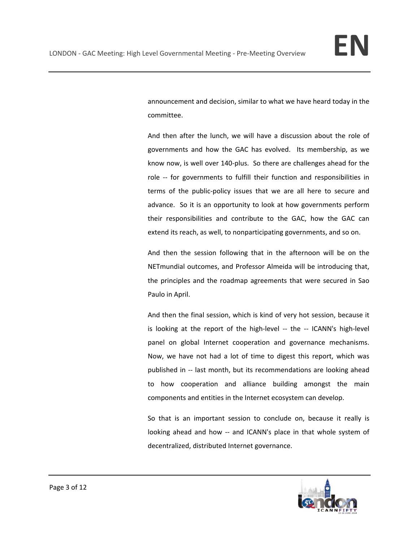announcement and decision, similar to what we have heard today in the committee.

And then after the lunch, we will have a discussion about the role of governments and how the GAC has evolved. Its membership, as we know now, is well over 140-plus. So there are challenges ahead for the role -- for governments to fulfill their function and responsibilities in terms of the public-policy issues that we are all here to secure and advance. So it is an opportunity to look at how governments perform their responsibilities and contribute to the GAC, how the GAC can extend its reach, as well, to nonparticipating governments, and so on.

And then the session following that in the afternoon will be on the NETmundial outcomes, and Professor Almeida will be introducing that, the principles and the roadmap agreements that were secured in Sao Paulo in April.

And then the final session, which is kind of very hot session, because it is looking at the report of the high-level -- the -- ICANN's high-level panel on global Internet cooperation and governance mechanisms. Now, we have not had a lot of time to digest this report, which was published in -- last month, but its recommendations are looking ahead to how cooperation and alliance building amongst the main components and entities in the Internet ecosystem can develop.

So that is an important session to conclude on, because it really is looking ahead and how -- and ICANN's place in that whole system of decentralized, distributed Internet governance.

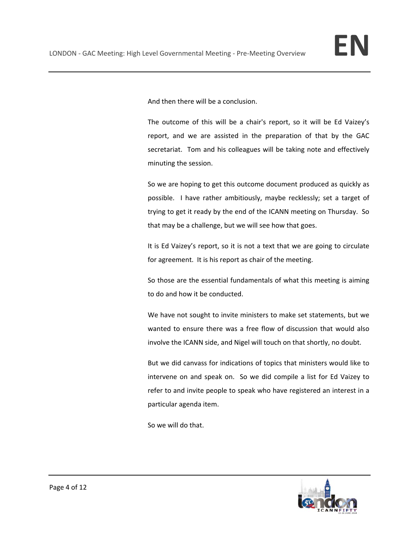And then there will be a conclusion.

The outcome of this will be a chair's report, so it will be Ed Vaizey's report, and we are assisted in the preparation of that by the GAC secretariat. Tom and his colleagues will be taking note and effectively minuting the session.

So we are hoping to get this outcome document produced as quickly as possible. I have rather ambitiously, maybe recklessly; set a target of trying to get it ready by the end of the ICANN meeting on Thursday. So that may be a challenge, but we will see how that goes.

It is Ed Vaizey's report, so it is not a text that we are going to circulate for agreement. It is his report as chair of the meeting.

So those are the essential fundamentals of what this meeting is aiming to do and how it be conducted.

We have not sought to invite ministers to make set statements, but we wanted to ensure there was a free flow of discussion that would also involve the ICANN side, and Nigel will touch on that shortly, no doubt.

But we did canvass for indications of topics that ministers would like to intervene on and speak on. So we did compile a list for Ed Vaizey to refer to and invite people to speak who have registered an interest in a particular agenda item.

So we will do that.

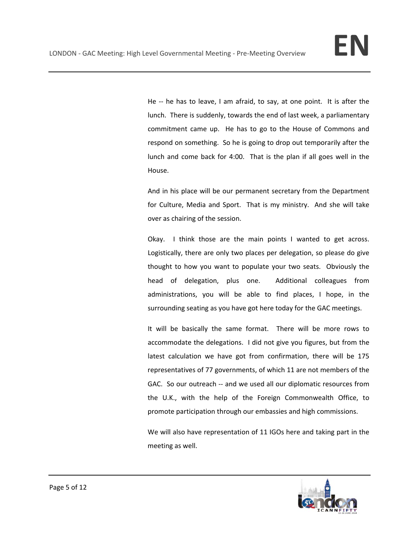He -- he has to leave, I am afraid, to say, at one point. It is after the lunch. There is suddenly, towards the end of last week, a parliamentary commitment came up. He has to go to the House of Commons and respond on something. So he is going to drop out temporarily after the lunch and come back for 4:00. That is the plan if all goes well in the House.

And in his place will be our permanent secretary from the Department for Culture, Media and Sport. That is my ministry. And she will take over as chairing of the session.

Okay. I think those are the main points I wanted to get across. Logistically, there are only two places per delegation, so please do give thought to how you want to populate your two seats. Obviously the head of delegation, plus one. Additional colleagues from administrations, you will be able to find places, I hope, in the surrounding seating as you have got here today for the GAC meetings.

It will be basically the same format. There will be more rows to accommodate the delegations. I did not give you figures, but from the latest calculation we have got from confirmation, there will be 175 representatives of 77 governments, of which 11 are not members of the GAC. So our outreach -- and we used all our diplomatic resources from the U.K., with the help of the Foreign Commonwealth Office, to promote participation through our embassies and high commissions.

We will also have representation of 11 IGOs here and taking part in the meeting as well.

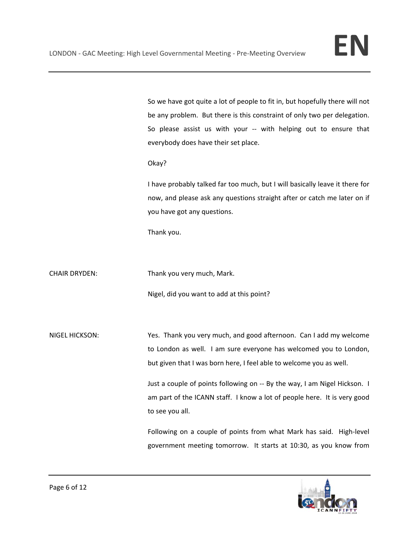So we have got quite a lot of people to fit in, but hopefully there will not be any problem. But there is this constraint of only two per delegation. So please assist us with your -- with helping out to ensure that everybody does have their set place.

Okay?

I have probably talked far too much, but I will basically leave it there for now, and please ask any questions straight after or catch me later on if you have got any questions.

Thank you.

CHAIR DRYDEN: Thank you very much, Mark.

Nigel, did you want to add at this point?

NIGEL HICKSON: Yes. Thank you very much, and good afternoon. Can I add my welcome to London as well. I am sure everyone has welcomed you to London, but given that I was born here, I feel able to welcome you as well.

> Just a couple of points following on -- By the way, I am Nigel Hickson. I am part of the ICANN staff. I know a lot of people here. It is very good to see you all.

> Following on a couple of points from what Mark has said. High-level government meeting tomorrow. It starts at 10:30, as you know from

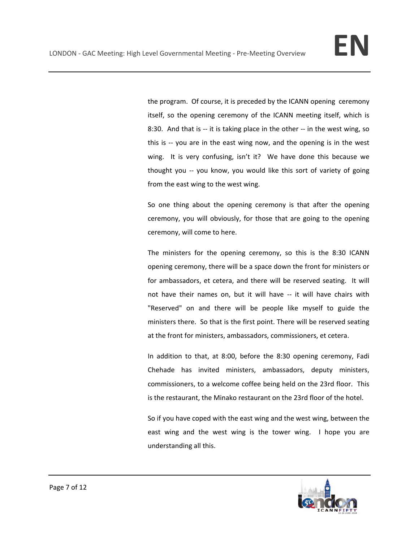the program. Of course, it is preceded by the ICANN opening ceremony itself, so the opening ceremony of the ICANN meeting itself, which is 8:30. And that is -- it is taking place in the other -- in the west wing, so this is -- you are in the east wing now, and the opening is in the west wing. It is very confusing, isn't it? We have done this because we thought you -- you know, you would like this sort of variety of going from the east wing to the west wing.

So one thing about the opening ceremony is that after the opening ceremony, you will obviously, for those that are going to the opening ceremony, will come to here.

The ministers for the opening ceremony, so this is the 8:30 ICANN opening ceremony, there will be a space down the front for ministers or for ambassadors, et cetera, and there will be reserved seating. It will not have their names on, but it will have -- it will have chairs with "Reserved" on and there will be people like myself to guide the ministers there. So that is the first point. There will be reserved seating at the front for ministers, ambassadors, commissioners, et cetera.

In addition to that, at 8:00, before the 8:30 opening ceremony, Fadi Chehade has invited ministers, ambassadors, deputy ministers, commissioners, to a welcome coffee being held on the 23rd floor. This is the restaurant, the Minako restaurant on the 23rd floor of the hotel.

So if you have coped with the east wing and the west wing, between the east wing and the west wing is the tower wing. I hope you are understanding all this.

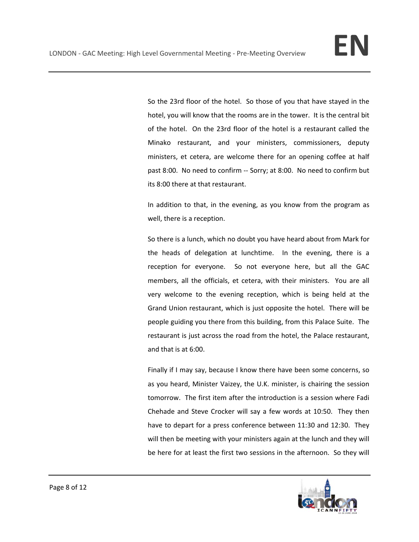So the 23rd floor of the hotel. So those of you that have stayed in the hotel, you will know that the rooms are in the tower. It is the central bit of the hotel. On the 23rd floor of the hotel is a restaurant called the Minako restaurant, and your ministers, commissioners, deputy ministers, et cetera, are welcome there for an opening coffee at half past 8:00. No need to confirm -- Sorry; at 8:00. No need to confirm but its 8:00 there at that restaurant.

In addition to that, in the evening, as you know from the program as well, there is a reception.

So there is a lunch, which no doubt you have heard about from Mark for the heads of delegation at lunchtime. In the evening, there is a reception for everyone. So not everyone here, but all the GAC members, all the officials, et cetera, with their ministers. You are all very welcome to the evening reception, which is being held at the Grand Union restaurant, which is just opposite the hotel. There will be people guiding you there from this building, from this Palace Suite. The restaurant is just across the road from the hotel, the Palace restaurant, and that is at 6:00.

Finally if I may say, because I know there have been some concerns, so as you heard, Minister Vaizey, the U.K. minister, is chairing the session tomorrow. The first item after the introduction is a session where Fadi Chehade and Steve Crocker will say a few words at 10:50. They then have to depart for a press conference between 11:30 and 12:30. They will then be meeting with your ministers again at the lunch and they will be here for at least the first two sessions in the afternoon. So they will

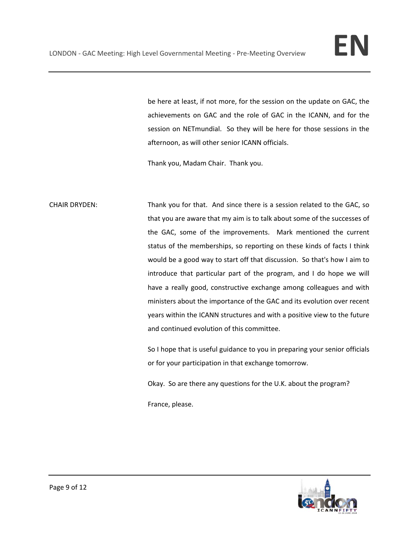be here at least, if not more, for the session on the update on GAC, the achievements on GAC and the role of GAC in the ICANN, and for the session on NETmundial. So they will be here for those sessions in the afternoon, as will other senior ICANN officials.

Thank you, Madam Chair. Thank you.

CHAIR DRYDEN: Thank you for that. And since there is a session related to the GAC, so that you are aware that my aim is to talk about some of the successes of the GAC, some of the improvements. Mark mentioned the current status of the memberships, so reporting on these kinds of facts I think would be a good way to start off that discussion. So that's how I aim to introduce that particular part of the program, and I do hope we will have a really good, constructive exchange among colleagues and with ministers about the importance of the GAC and its evolution over recent years within the ICANN structures and with a positive view to the future and continued evolution of this committee.

> So I hope that is useful guidance to you in preparing your senior officials or for your participation in that exchange tomorrow.

Okay. So are there any questions for the U.K. about the program?

France, please.

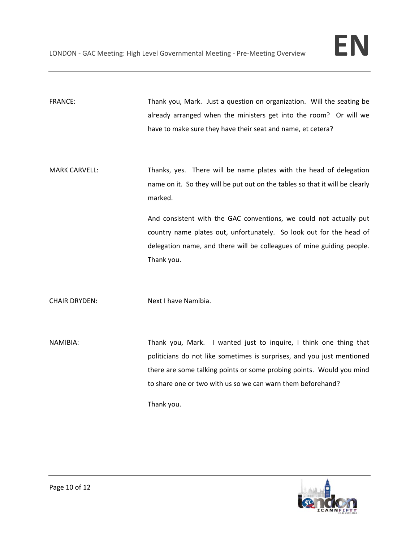FRANCE: Thank you, Mark. Just a question on organization. Will the seating be already arranged when the ministers get into the room? Or will we have to make sure they have their seat and name, et cetera?

MARK CARVELL: Thanks, yes. There will be name plates with the head of delegation name on it. So they will be put out on the tables so that it will be clearly marked.

> And consistent with the GAC conventions, we could not actually put country name plates out, unfortunately. So look out for the head of delegation name, and there will be colleagues of mine guiding people. Thank you.

CHAIR DRYDEN: Next I have Namibia.

NAMIBIA: Thank you, Mark. I wanted just to inquire, I think one thing that politicians do not like sometimes is surprises, and you just mentioned there are some talking points or some probing points. Would you mind to share one or two with us so we can warn them beforehand?

Thank you.

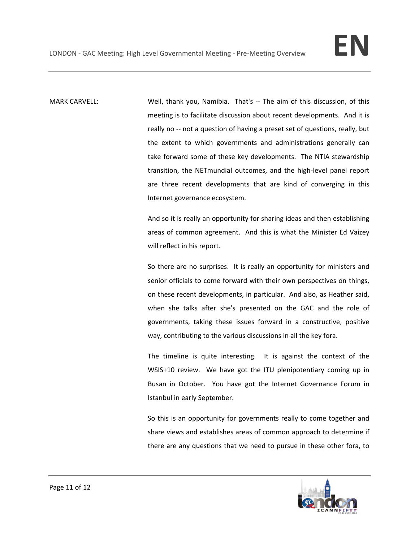MARK CARVELL: Well, thank you, Namibia. That's -- The aim of this discussion, of this meeting is to facilitate discussion about recent developments. And it is really no -- not a question of having a preset set of questions, really, but the extent to which governments and administrations generally can take forward some of these key developments. The NTIA stewardship transition, the NETmundial outcomes, and the high-level panel report are three recent developments that are kind of converging in this Internet governance ecosystem.

> And so it is really an opportunity for sharing ideas and then establishing areas of common agreement. And this is what the Minister Ed Vaizey will reflect in his report.

> So there are no surprises. It is really an opportunity for ministers and senior officials to come forward with their own perspectives on things, on these recent developments, in particular. And also, as Heather said, when she talks after she's presented on the GAC and the role of governments, taking these issues forward in a constructive, positive way, contributing to the various discussions in all the key fora.

> The timeline is quite interesting. It is against the context of the WSIS+10 review. We have got the ITU plenipotentiary coming up in Busan in October. You have got the Internet Governance Forum in Istanbul in early September.

> So this is an opportunity for governments really to come together and share views and establishes areas of common approach to determine if there are any questions that we need to pursue in these other fora, to